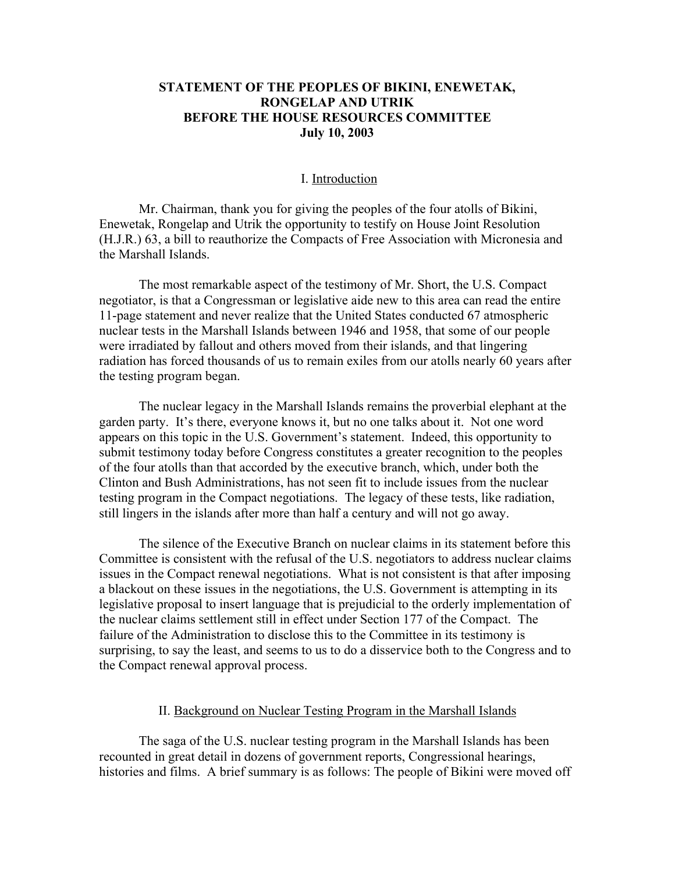## **STATEMENT OF THE PEOPLES OF BIKINI, ENEWETAK, RONGELAP AND UTRIK BEFORE THE HOUSE RESOURCES COMMITTEE July 10, 2003**

### I. Introduction

Mr. Chairman, thank you for giving the peoples of the four atolls of Bikini, Enewetak, Rongelap and Utrik the opportunity to testify on House Joint Resolution (H.J.R.) 63, a bill to reauthorize the Compacts of Free Association with Micronesia and the Marshall Islands.

The most remarkable aspect of the testimony of Mr. Short, the U.S. Compact negotiator, is that a Congressman or legislative aide new to this area can read the entire 11-page statement and never realize that the United States conducted 67 atmospheric nuclear tests in the Marshall Islands between 1946 and 1958, that some of our people were irradiated by fallout and others moved from their islands, and that lingering radiation has forced thousands of us to remain exiles from our atolls nearly 60 years after the testing program began.

The nuclear legacy in the Marshall Islands remains the proverbial elephant at the garden party. It's there, everyone knows it, but no one talks about it. Not one word appears on this topic in the U.S. Government's statement. Indeed, this opportunity to submit testimony today before Congress constitutes a greater recognition to the peoples of the four atolls than that accorded by the executive branch, which, under both the Clinton and Bush Administrations, has not seen fit to include issues from the nuclear testing program in the Compact negotiations. The legacy of these tests, like radiation, still lingers in the islands after more than half a century and will not go away.

The silence of the Executive Branch on nuclear claims in its statement before this Committee is consistent with the refusal of the U.S. negotiators to address nuclear claims issues in the Compact renewal negotiations. What is not consistent is that after imposing a blackout on these issues in the negotiations, the U.S. Government is attempting in its legislative proposal to insert language that is prejudicial to the orderly implementation of the nuclear claims settlement still in effect under Section 177 of the Compact. The failure of the Administration to disclose this to the Committee in its testimony is surprising, to say the least, and seems to us to do a disservice both to the Congress and to the Compact renewal approval process.

#### II. Background on Nuclear Testing Program in the Marshall Islands

The saga of the U.S. nuclear testing program in the Marshall Islands has been recounted in great detail in dozens of government reports, Congressional hearings, histories and films. A brief summary is as follows: The people of Bikini were moved off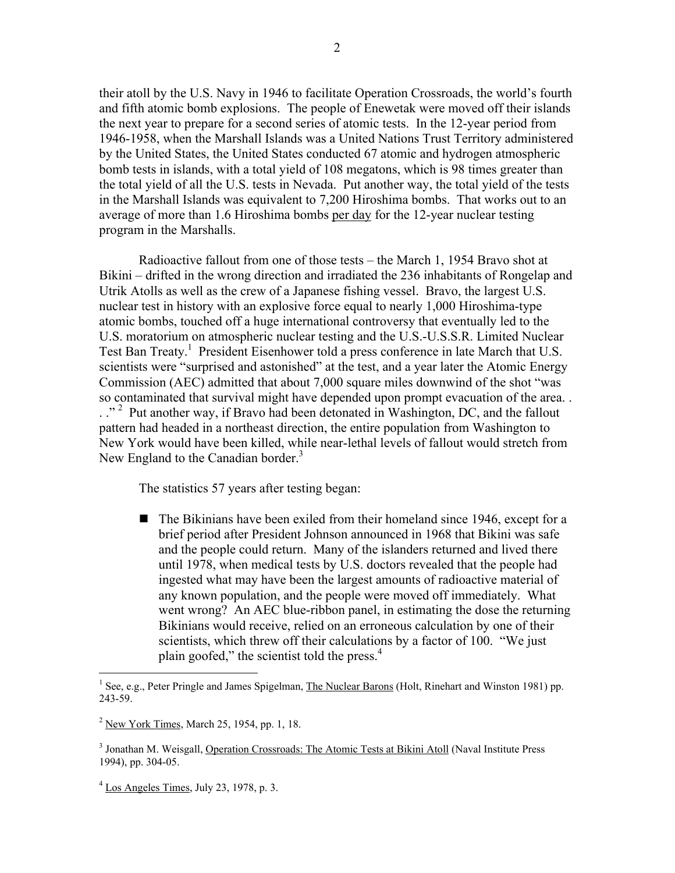their atoll by the U.S. Navy in 1946 to facilitate Operation Crossroads, the world's fourth and fifth atomic bomb explosions. The people of Enewetak were moved off their islands the next year to prepare for a second series of atomic tests. In the 12-year period from 1946-1958, when the Marshall Islands was a United Nations Trust Territory administered by the United States, the United States conducted 67 atomic and hydrogen atmospheric bomb tests in islands, with a total yield of 108 megatons, which is 98 times greater than the total yield of all the U.S. tests in Nevada. Put another way, the total yield of the tests in the Marshall Islands was equivalent to 7,200 Hiroshima bombs. That works out to an average of more than 1.6 Hiroshima bombs per day for the 12-year nuclear testing program in the Marshalls.

Radioactive fallout from one of those tests – the March 1, 1954 Bravo shot at Bikini – drifted in the wrong direction and irradiated the 236 inhabitants of Rongelap and Utrik Atolls as well as the crew of a Japanese fishing vessel. Bravo, the largest U.S. nuclear test in history with an explosive force equal to nearly 1,000 Hiroshima-type atomic bombs, touched off a huge international controversy that eventually led to the U.S. moratorium on atmospheric nuclear testing and the U.S.-U.S.S.R. Limited Nuclear Test Ban Treaty.<sup>1</sup> President Eisenhower told a press conference in late March that U.S. scientists were "surprised and astonished" at the test, and a year later the Atomic Energy Commission (AEC) admitted that about 7,000 square miles downwind of the shot "was so contaminated that survival might have depended upon prompt evacuation of the area. .  $\therefore$  <sup>2</sup> Put another way, if Bravo had been detonated in Washington, DC, and the fallout pattern had headed in a northeast direction, the entire population from Washington to New York would have been killed, while near-lethal levels of fallout would stretch from New England to the Canadian border. $3$ 

The statistics 57 years after testing began:

 $\blacksquare$  The Bikinians have been exiled from their homeland since 1946, except for a brief period after President Johnson announced in 1968 that Bikini was safe and the people could return. Many of the islanders returned and lived there until 1978, when medical tests by U.S. doctors revealed that the people had ingested what may have been the largest amounts of radioactive material of any known population, and the people were moved off immediately. What went wrong? An AEC blue-ribbon panel, in estimating the dose the returning Bikinians would receive, relied on an erroneous calculation by one of their scientists, which threw off their calculations by a factor of 100. "We just plain goofed," the scientist told the press.<sup>4</sup>

 $\frac{1}{1}$ <sup>1</sup> See, e.g., Peter Pringle and James Spigelman, The Nuclear Barons (Holt, Rinehart and Winston 1981) pp. 243-59.

 $2$  New York Times, March 25, 1954, pp. 1, 18.

<sup>&</sup>lt;sup>3</sup> Jonathan M. Weisgall, Operation Crossroads: The Atomic Tests at Bikini Atoll (Naval Institute Press 1994), pp. 304-05.

 $4$  Los Angeles Times, July 23, 1978, p. 3.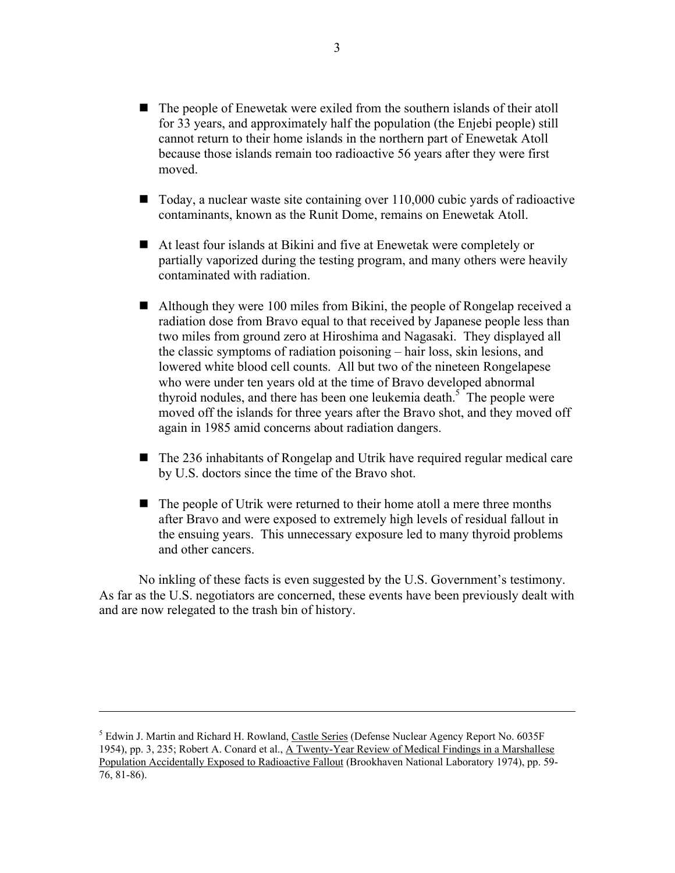- $\blacksquare$  The people of Enewetak were exiled from the southern islands of their atoll for 33 years, and approximately half the population (the Enjebi people) still cannot return to their home islands in the northern part of Enewetak Atoll because those islands remain too radioactive 56 years after they were first moved.
- $\blacksquare$  Today, a nuclear waste site containing over 110,000 cubic yards of radioactive contaminants, known as the Runit Dome, remains on Enewetak Atoll.
- At least four islands at Bikini and five at Enewetak were completely or partially vaporized during the testing program, and many others were heavily contaminated with radiation.
- $\blacksquare$  Although they were 100 miles from Bikini, the people of Rongelap received a radiation dose from Bravo equal to that received by Japanese people less than two miles from ground zero at Hiroshima and Nagasaki. They displayed all the classic symptoms of radiation poisoning – hair loss, skin lesions, and lowered white blood cell counts. All but two of the nineteen Rongelapese who were under ten years old at the time of Bravo developed abnormal thyroid nodules, and there has been one leukemia death.<sup>5</sup> The people were moved off the islands for three years after the Bravo shot, and they moved off again in 1985 amid concerns about radiation dangers.
- $\blacksquare$  The 236 inhabitants of Rongelap and Utrik have required regular medical care by U.S. doctors since the time of the Bravo shot.
- $\blacksquare$  The people of Utrik were returned to their home atoll a mere three months after Bravo and were exposed to extremely high levels of residual fallout in the ensuing years. This unnecessary exposure led to many thyroid problems and other cancers.

No inkling of these facts is even suggested by the U.S. Government's testimony. As far as the U.S. negotiators are concerned, these events have been previously dealt with and are now relegated to the trash bin of history.

 $\overline{a}$ 

<sup>&</sup>lt;sup>5</sup> Edwin J. Martin and Richard H. Rowland, Castle Series (Defense Nuclear Agency Report No. 6035F 1954), pp. 3, 235; Robert A. Conard et al., A Twenty-Year Review of Medical Findings in a Marshallese Population Accidentally Exposed to Radioactive Fallout (Brookhaven National Laboratory 1974), pp. 59- 76, 81-86).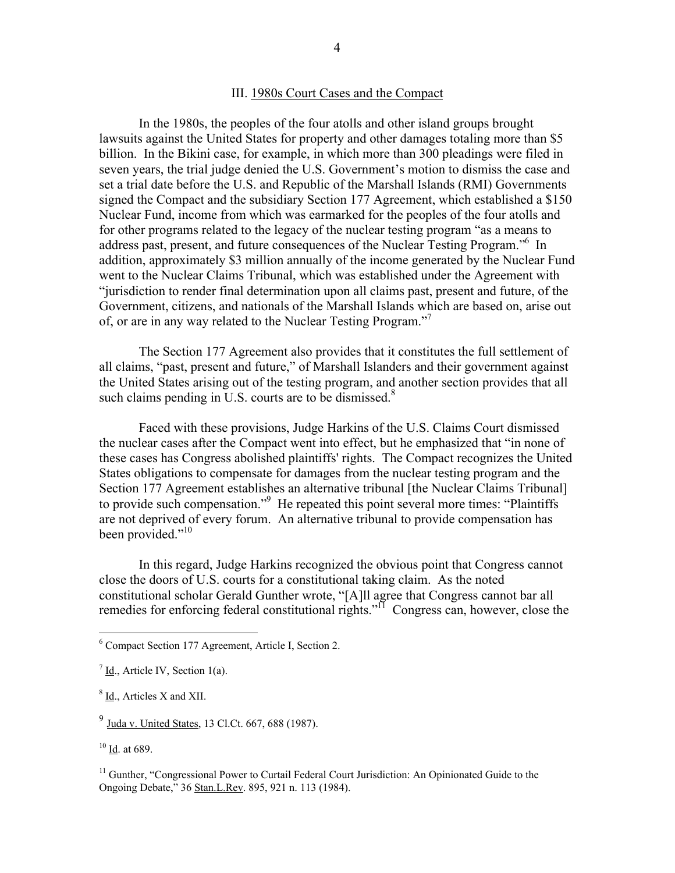#### III. 1980s Court Cases and the Compact

In the 1980s, the peoples of the four atolls and other island groups brought lawsuits against the United States for property and other damages totaling more than \$5 billion. In the Bikini case, for example, in which more than 300 pleadings were filed in seven years, the trial judge denied the U.S. Government's motion to dismiss the case and set a trial date before the U.S. and Republic of the Marshall Islands (RMI) Governments signed the Compact and the subsidiary Section 177 Agreement, which established a \$150 Nuclear Fund, income from which was earmarked for the peoples of the four atolls and for other programs related to the legacy of the nuclear testing program "as a means to address past, present, and future consequences of the Nuclear Testing Program."<sup>6</sup> In addition, approximately \$3 million annually of the income generated by the Nuclear Fund went to the Nuclear Claims Tribunal, which was established under the Agreement with "jurisdiction to render final determination upon all claims past, present and future, of the Government, citizens, and nationals of the Marshall Islands which are based on, arise out of, or are in any way related to the Nuclear Testing Program."

The Section 177 Agreement also provides that it constitutes the full settlement of all claims, "past, present and future," of Marshall Islanders and their government against the United States arising out of the testing program, and another section provides that all such claims pending in U.S. courts are to be dismissed. $8$ 

Faced with these provisions, Judge Harkins of the U.S. Claims Court dismissed the nuclear cases after the Compact went into effect, but he emphasized that "in none of these cases has Congress abolished plaintiffs' rights. The Compact recognizes the United States obligations to compensate for damages from the nuclear testing program and the Section 177 Agreement establishes an alternative tribunal [the Nuclear Claims Tribunal] to provide such compensation."<sup>9</sup> He repeated this point several more times: "Plaintiffs are not deprived of every forum. An alternative tribunal to provide compensation has been provided."<sup>10</sup>

In this regard, Judge Harkins recognized the obvious point that Congress cannot close the doors of U.S. courts for a constitutional taking claim. As the noted constitutional scholar Gerald Gunther wrote, "[A]ll agree that Congress cannot bar all remedies for enforcing federal constitutional rights."<sup>11</sup> Congress can, however, close the

 $\frac{1}{6}$ <sup>6</sup> Compact Section 177 Agreement, Article I, Section 2.

 $\frac{7}{1}$  Id., Article IV, Section 1(a).

 $8$   $\underline{Id}$ ., Articles X and XII.

 $^{9}$  Juda v. United States, 13 Cl.Ct. 667, 688 (1987).

 $10 \underline{\mathsf{Id}}$ . at 689.

<sup>&</sup>lt;sup>11</sup> Gunther, "Congressional Power to Curtail Federal Court Jurisdiction: An Opinionated Guide to the Ongoing Debate," 36 Stan.L.Rev. 895, 921 n. 113 (1984).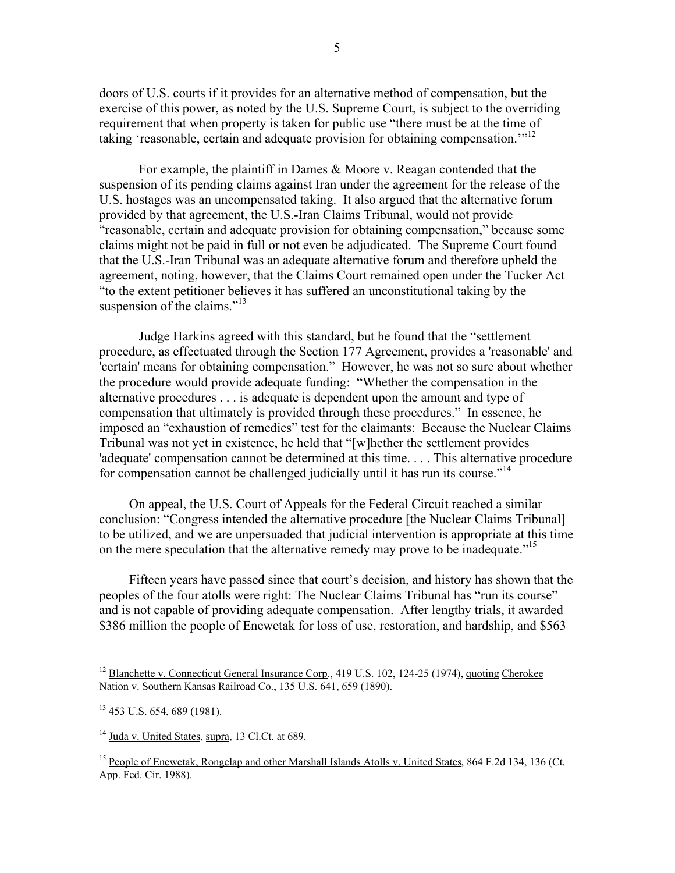doors of U.S. courts if it provides for an alternative method of compensation, but the exercise of this power, as noted by the U.S. Supreme Court, is subject to the overriding requirement that when property is taken for public use "there must be at the time of taking 'reasonable, certain and adequate provision for obtaining compensation.'"12

For example, the plaintiff in Dames & Moore v. Reagan contended that the suspension of its pending claims against Iran under the agreement for the release of the U.S. hostages was an uncompensated taking. It also argued that the alternative forum provided by that agreement, the U.S.-Iran Claims Tribunal, would not provide "reasonable, certain and adequate provision for obtaining compensation," because some claims might not be paid in full or not even be adjudicated. The Supreme Court found that the U.S.-Iran Tribunal was an adequate alternative forum and therefore upheld the agreement, noting, however, that the Claims Court remained open under the Tucker Act "to the extent petitioner believes it has suffered an unconstitutional taking by the suspension of the claims."<sup>13</sup>

Judge Harkins agreed with this standard, but he found that the "settlement procedure, as effectuated through the Section 177 Agreement, provides a 'reasonable' and 'certain' means for obtaining compensation." However, he was not so sure about whether the procedure would provide adequate funding: "Whether the compensation in the alternative procedures . . . is adequate is dependent upon the amount and type of compensation that ultimately is provided through these procedures." In essence, he imposed an "exhaustion of remedies" test for the claimants: Because the Nuclear Claims Tribunal was not yet in existence, he held that "[w]hether the settlement provides 'adequate' compensation cannot be determined at this time. . . . This alternative procedure for compensation cannot be challenged judicially until it has run its course.<sup> $14$ </sup>

On appeal, the U.S. Court of Appeals for the Federal Circuit reached a similar conclusion: "Congress intended the alternative procedure [the Nuclear Claims Tribunal] to be utilized, and we are unpersuaded that judicial intervention is appropriate at this time on the mere speculation that the alternative remedy may prove to be inadequate."<sup>15</sup>

Fifteen years have passed since that court's decision, and history has shown that the peoples of the four atolls were right: The Nuclear Claims Tribunal has "run its course" and is not capable of providing adequate compensation. After lengthy trials, it awarded \$386 million the people of Enewetak for loss of use, restoration, and hardship, and \$563

 $\overline{a}$ 

<sup>&</sup>lt;sup>12</sup> Blanchette v. Connecticut General Insurance Corp., 419 U.S. 102, 124-25 (1974), quoting Cherokee Nation v. Southern Kansas Railroad Co., 135 U.S. 641, 659 (1890).

<sup>&</sup>lt;sup>13</sup> 453 U.S. 654, 689 (1981).

<sup>&</sup>lt;sup>14</sup> Juda v. United States, supra, 13 Cl.Ct. at 689.

<sup>&</sup>lt;sup>15</sup> People of Enewetak, Rongelap and other Marshall Islands Atolls v. United States, 864 F.2d 134, 136 (Ct. App. Fed. Cir. 1988).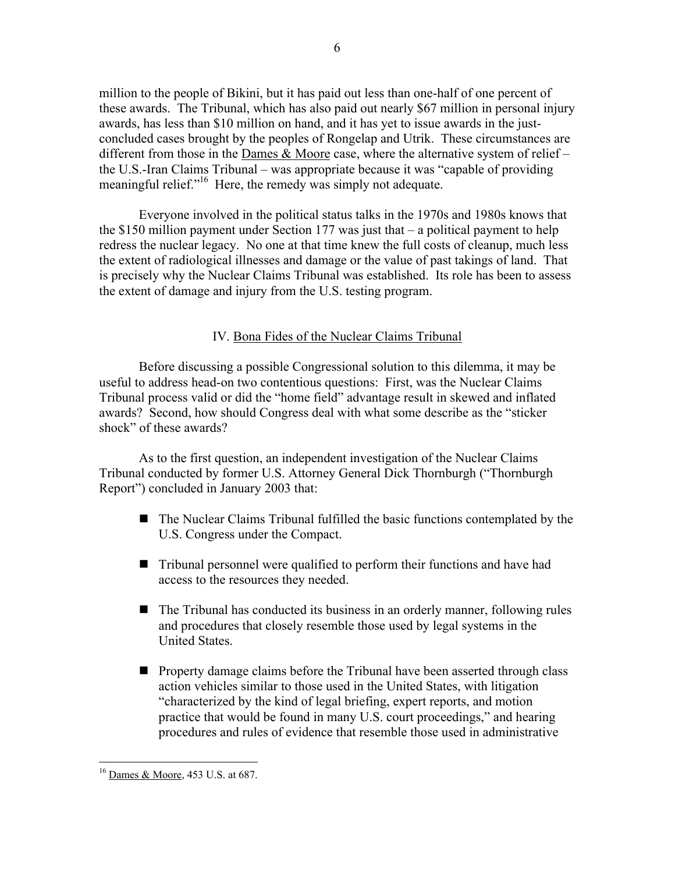million to the people of Bikini, but it has paid out less than one-half of one percent of these awards. The Tribunal, which has also paid out nearly \$67 million in personal injury awards, has less than \$10 million on hand, and it has yet to issue awards in the justconcluded cases brought by the peoples of Rongelap and Utrik. These circumstances are different from those in the Dames & Moore case, where the alternative system of relief – the U.S.-Iran Claims Tribunal – was appropriate because it was "capable of providing meaningful relief."<sup>16</sup> Here, the remedy was simply not adequate.

Everyone involved in the political status talks in the 1970s and 1980s knows that the \$150 million payment under Section 177 was just that – a political payment to help redress the nuclear legacy. No one at that time knew the full costs of cleanup, much less the extent of radiological illnesses and damage or the value of past takings of land. That is precisely why the Nuclear Claims Tribunal was established. Its role has been to assess the extent of damage and injury from the U.S. testing program.

## IV. Bona Fides of the Nuclear Claims Tribunal

Before discussing a possible Congressional solution to this dilemma, it may be useful to address head-on two contentious questions: First, was the Nuclear Claims Tribunal process valid or did the "home field" advantage result in skewed and inflated awards? Second, how should Congress deal with what some describe as the "sticker shock" of these awards?

As to the first question, an independent investigation of the Nuclear Claims Tribunal conducted by former U.S. Attorney General Dick Thornburgh ("Thornburgh Report") concluded in January 2003 that:

- $\blacksquare$  The Nuclear Claims Tribunal fulfilled the basic functions contemplated by the U.S. Congress under the Compact.
- $\blacksquare$  Tribunal personnel were qualified to perform their functions and have had access to the resources they needed.
- $\blacksquare$  The Tribunal has conducted its business in an orderly manner, following rules and procedures that closely resemble those used by legal systems in the United States.
- **n** Property damage claims before the Tribunal have been asserted through class action vehicles similar to those used in the United States, with litigation "characterized by the kind of legal briefing, expert reports, and motion practice that would be found in many U.S. court proceedings," and hearing procedures and rules of evidence that resemble those used in administrative

<sup>&</sup>lt;sup>16</sup> Dames & Moore, 453 U.S. at 687.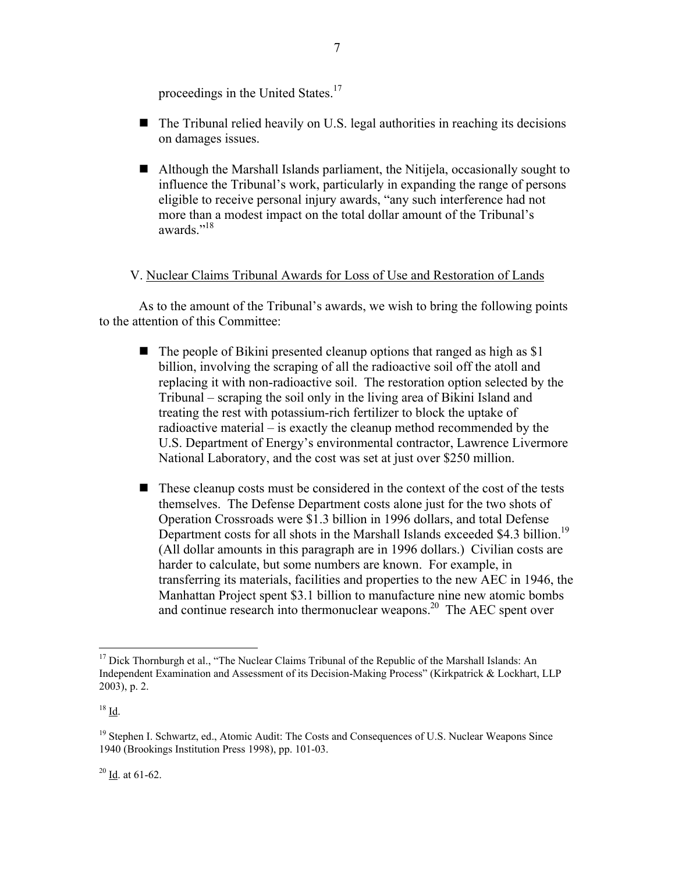proceedings in the United States.<sup>17</sup>

- $\blacksquare$  The Tribunal relied heavily on U.S. legal authorities in reaching its decisions on damages issues.
- $\blacksquare$  Although the Marshall Islands parliament, the Nitijela, occasionally sought to influence the Tribunal's work, particularly in expanding the range of persons eligible to receive personal injury awards, "any such interference had not more than a modest impact on the total dollar amount of the Tribunal's awards."<sup>18</sup>

# V. Nuclear Claims Tribunal Awards for Loss of Use and Restoration of Lands

As to the amount of the Tribunal's awards, we wish to bring the following points to the attention of this Committee:

- $\blacksquare$  The people of Bikini presented cleanup options that ranged as high as \$1 billion, involving the scraping of all the radioactive soil off the atoll and replacing it with non-radioactive soil. The restoration option selected by the Tribunal – scraping the soil only in the living area of Bikini Island and treating the rest with potassium-rich fertilizer to block the uptake of radioactive material – is exactly the cleanup method recommended by the U.S. Department of Energy's environmental contractor, Lawrence Livermore National Laboratory, and the cost was set at just over \$250 million.
- $\blacksquare$  These cleanup costs must be considered in the context of the cost of the tests themselves. The Defense Department costs alone just for the two shots of Operation Crossroads were \$1.3 billion in 1996 dollars, and total Defense Department costs for all shots in the Marshall Islands exceeded \$4.3 billion.<sup>19</sup> (All dollar amounts in this paragraph are in 1996 dollars.) Civilian costs are harder to calculate, but some numbers are known. For example, in transferring its materials, facilities and properties to the new AEC in 1946, the Manhattan Project spent \$3.1 billion to manufacture nine new atomic bombs and continue research into thermonuclear weapons.<sup>20</sup> The AEC spent over

 $20 \underline{\text{Id}}$ . at 61-62.

<sup>&</sup>lt;sup>17</sup> Dick Thornburgh et al., "The Nuclear Claims Tribunal of the Republic of the Marshall Islands: An Independent Examination and Assessment of its Decision-Making Process" (Kirkpatrick & Lockhart, LLP 2003), p. 2.

 $18 \underline{Id}$ .

<sup>&</sup>lt;sup>19</sup> Stephen I. Schwartz, ed., Atomic Audit: The Costs and Consequences of U.S. Nuclear Weapons Since 1940 (Brookings Institution Press 1998), pp. 101-03.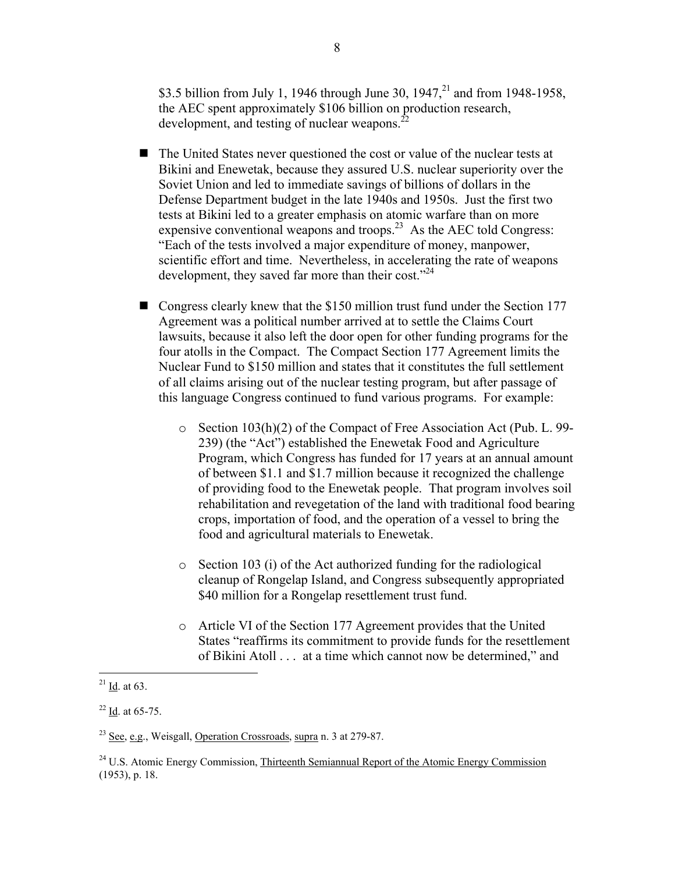\$3.5 billion from July 1, 1946 through June 30, 1947,<sup>21</sup> and from 1948-1958, the AEC spent approximately \$106 billion on production research, development, and testing of nuclear weapons. $^{22}$ 

- $\blacksquare$  The United States never questioned the cost or value of the nuclear tests at Bikini and Enewetak, because they assured U.S. nuclear superiority over the Soviet Union and led to immediate savings of billions of dollars in the Defense Department budget in the late 1940s and 1950s. Just the first two tests at Bikini led to a greater emphasis on atomic warfare than on more expensive conventional weapons and troops.<sup>23</sup> As the AEC told Congress: "Each of the tests involved a major expenditure of money, manpower, scientific effort and time. Nevertheless, in accelerating the rate of weapons development, they saved far more than their cost."<sup>24</sup>
- **n** Congress clearly knew that the \$150 million trust fund under the Section 177 Agreement was a political number arrived at to settle the Claims Court lawsuits, because it also left the door open for other funding programs for the four atolls in the Compact. The Compact Section 177 Agreement limits the Nuclear Fund to \$150 million and states that it constitutes the full settlement of all claims arising out of the nuclear testing program, but after passage of this language Congress continued to fund various programs. For example:
	- o Section 103(h)(2) of the Compact of Free Association Act (Pub. L. 99- 239) (the "Act") established the Enewetak Food and Agriculture Program, which Congress has funded for 17 years at an annual amount of between \$1.1 and \$1.7 million because it recognized the challenge of providing food to the Enewetak people. That program involves soil rehabilitation and revegetation of the land with traditional food bearing crops, importation of food, and the operation of a vessel to bring the food and agricultural materials to Enewetak.
	- o Section 103 (i) of the Act authorized funding for the radiological cleanup of Rongelap Island, and Congress subsequently appropriated \$40 million for a Rongelap resettlement trust fund.
	- o Article VI of the Section 177 Agreement provides that the United States "reaffirms its commitment to provide funds for the resettlement of Bikini Atoll . . . at a time which cannot now be determined," and

 $\frac{21}{\underline{Id}}$  at 63.

 $^{22}$  <u>Id</u>. at 65-75.

 $^{23}$  See, e.g., Weisgall, Operation Crossroads, supra n. 3 at 279-87.

<sup>&</sup>lt;sup>24</sup> U.S. Atomic Energy Commission, Thirteenth Semiannual Report of the Atomic Energy Commission (1953), p. 18.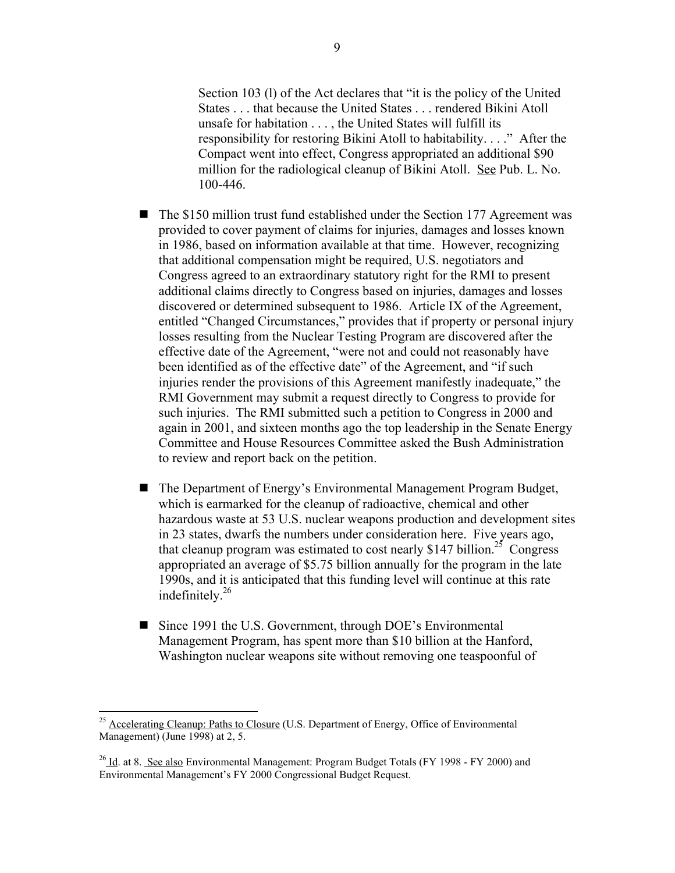Section 103 (l) of the Act declares that "it is the policy of the United States . . . that because the United States . . . rendered Bikini Atoll unsafe for habitation . . . , the United States will fulfill its responsibility for restoring Bikini Atoll to habitability. . . ." After the Compact went into effect, Congress appropriated an additional \$90 million for the radiological cleanup of Bikini Atoll. See Pub. L. No. 100-446.

- $\blacksquare$  The \$150 million trust fund established under the Section 177 Agreement was provided to cover payment of claims for injuries, damages and losses known in 1986, based on information available at that time. However, recognizing that additional compensation might be required, U.S. negotiators and Congress agreed to an extraordinary statutory right for the RMI to present additional claims directly to Congress based on injuries, damages and losses discovered or determined subsequent to 1986. Article IX of the Agreement, entitled "Changed Circumstances," provides that if property or personal injury losses resulting from the Nuclear Testing Program are discovered after the effective date of the Agreement, "were not and could not reasonably have been identified as of the effective date" of the Agreement, and "if such injuries render the provisions of this Agreement manifestly inadequate," the RMI Government may submit a request directly to Congress to provide for such injuries. The RMI submitted such a petition to Congress in 2000 and again in 2001, and sixteen months ago the top leadership in the Senate Energy Committee and House Resources Committee asked the Bush Administration to review and report back on the petition.
- The Department of Energy's Environmental Management Program Budget, which is earmarked for the cleanup of radioactive, chemical and other hazardous waste at 53 U.S. nuclear weapons production and development sites in 23 states, dwarfs the numbers under consideration here. Five years ago, that cleanup program was estimated to cost nearly \$147 billion.<sup>25</sup> Congress appropriated an average of \$5.75 billion annually for the program in the late 1990s, and it is anticipated that this funding level will continue at this rate indefinitely.26
- Since 1991 the U.S. Government, through DOE's Environmental Management Program, has spent more than \$10 billion at the Hanford, Washington nuclear weapons site without removing one teaspoonful of

<sup>&</sup>lt;sup>25</sup> Accelerating Cleanup: Paths to Closure (U.S. Department of Energy, Office of Environmental Management) (June 1998) at 2, 5.

<sup>&</sup>lt;sup>26</sup> Id. at 8. See also Environmental Management: Program Budget Totals (FY 1998 - FY 2000) and Environmental Management's FY 2000 Congressional Budget Request.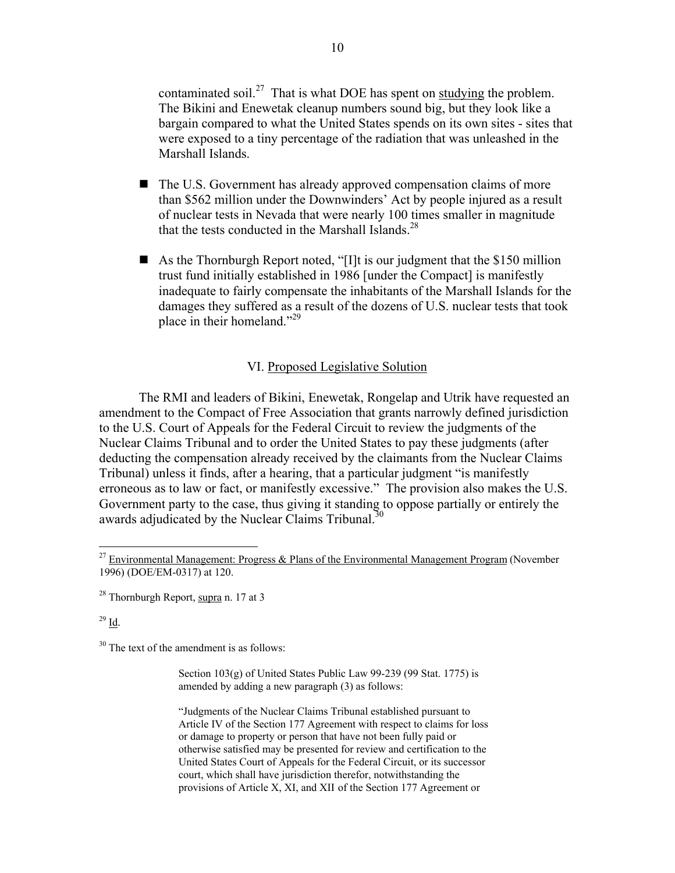contaminated soil.<sup>27</sup> That is what DOE has spent on studying the problem. The Bikini and Enewetak cleanup numbers sound big, but they look like a bargain compared to what the United States spends on its own sites - sites that were exposed to a tiny percentage of the radiation that was unleashed in the Marshall Islands.

- The U.S. Government has already approved compensation claims of more than \$562 million under the Downwinders' Act by people injured as a result of nuclear tests in Nevada that were nearly 100 times smaller in magnitude that the tests conducted in the Marshall Islands. $^{28}$
- As the Thornburgh Report noted, "[I]t is our judgment that the \$150 million trust fund initially established in 1986 [under the Compact] is manifestly inadequate to fairly compensate the inhabitants of the Marshall Islands for the damages they suffered as a result of the dozens of U.S. nuclear tests that took place in their homeland."29

### VI. Proposed Legislative Solution

The RMI and leaders of Bikini, Enewetak, Rongelap and Utrik have requested an amendment to the Compact of Free Association that grants narrowly defined jurisdiction to the U.S. Court of Appeals for the Federal Circuit to review the judgments of the Nuclear Claims Tribunal and to order the United States to pay these judgments (after deducting the compensation already received by the claimants from the Nuclear Claims Tribunal) unless it finds, after a hearing, that a particular judgment "is manifestly erroneous as to law or fact, or manifestly excessive." The provision also makes the U.S. Government party to the case, thus giving it standing to oppose partially or entirely the awards adjudicated by the Nuclear Claims Tribunal.<sup>30</sup>

 $^{29}$   $\underline{\mathrm{Id}}$ .

 $30$  The text of the amendment is as follows:

Section 103(g) of United States Public Law 99-239 (99 Stat. 1775) is amended by adding a new paragraph (3) as follows:

"Judgments of the Nuclear Claims Tribunal established pursuant to Article IV of the Section 177 Agreement with respect to claims for loss or damage to property or person that have not been fully paid or otherwise satisfied may be presented for review and certification to the United States Court of Appeals for the Federal Circuit, or its successor court, which shall have jurisdiction therefor, notwithstanding the provisions of Article X, XI, and XII of the Section 177 Agreement or

<sup>&</sup>lt;sup>27</sup> Environmental Management: Progress & Plans of the Environmental Management Program (November 1996) (DOE/EM-0317) at 120.

<sup>&</sup>lt;sup>28</sup> Thornburgh Report, supra n. 17 at 3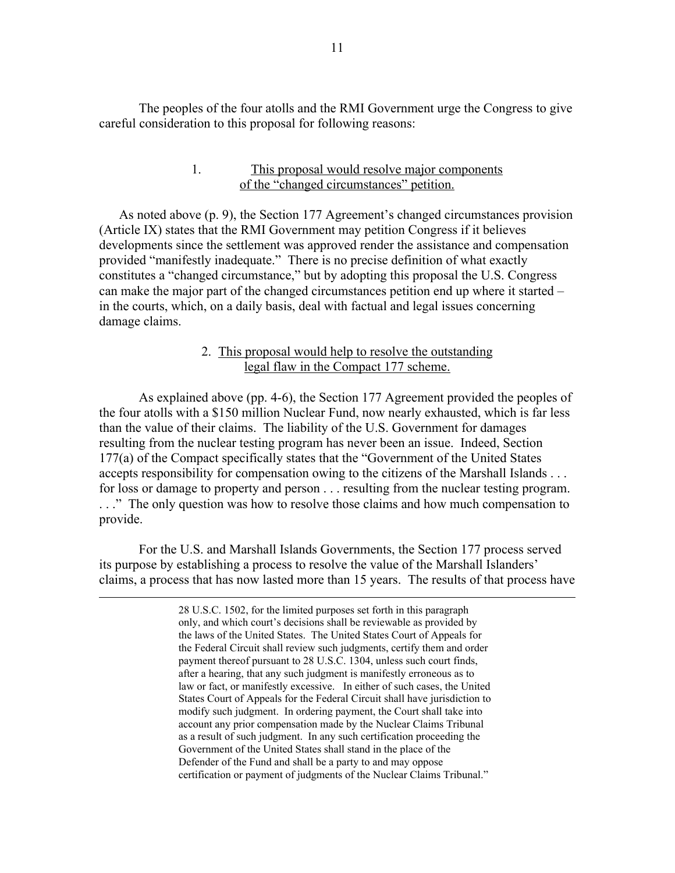The peoples of the four atolls and the RMI Government urge the Congress to give careful consideration to this proposal for following reasons:

### 1. This proposal would resolve major components of the "changed circumstances" petition.

As noted above (p. 9), the Section 177 Agreement's changed circumstances provision (Article IX) states that the RMI Government may petition Congress if it believes developments since the settlement was approved render the assistance and compensation provided "manifestly inadequate." There is no precise definition of what exactly constitutes a "changed circumstance," but by adopting this proposal the U.S. Congress can make the major part of the changed circumstances petition end up where it started – in the courts, which, on a daily basis, deal with factual and legal issues concerning damage claims.

## 2. This proposal would help to resolve the outstanding legal flaw in the Compact 177 scheme.

As explained above (pp. 4-6), the Section 177 Agreement provided the peoples of the four atolls with a \$150 million Nuclear Fund, now nearly exhausted, which is far less than the value of their claims. The liability of the U.S. Government for damages resulting from the nuclear testing program has never been an issue. Indeed, Section 177(a) of the Compact specifically states that the "Government of the United States accepts responsibility for compensation owing to the citizens of the Marshall Islands . . . for loss or damage to property and person . . . resulting from the nuclear testing program. . . ." The only question was how to resolve those claims and how much compensation to provide.

For the U.S. and Marshall Islands Governments, the Section 177 process served its purpose by establishing a process to resolve the value of the Marshall Islanders' claims, a process that has now lasted more than 15 years. The results of that process have

> 28 U.S.C. 1502, for the limited purposes set forth in this paragraph only, and which court's decisions shall be reviewable as provided by the laws of the United States. The United States Court of Appeals for the Federal Circuit shall review such judgments, certify them and order payment thereof pursuant to 28 U.S.C. 1304, unless such court finds, after a hearing, that any such judgment is manifestly erroneous as to law or fact, or manifestly excessive. In either of such cases, the United States Court of Appeals for the Federal Circuit shall have jurisdiction to modify such judgment. In ordering payment, the Court shall take into account any prior compensation made by the Nuclear Claims Tribunal as a result of such judgment. In any such certification proceeding the Government of the United States shall stand in the place of the Defender of the Fund and shall be a party to and may oppose certification or payment of judgments of the Nuclear Claims Tribunal."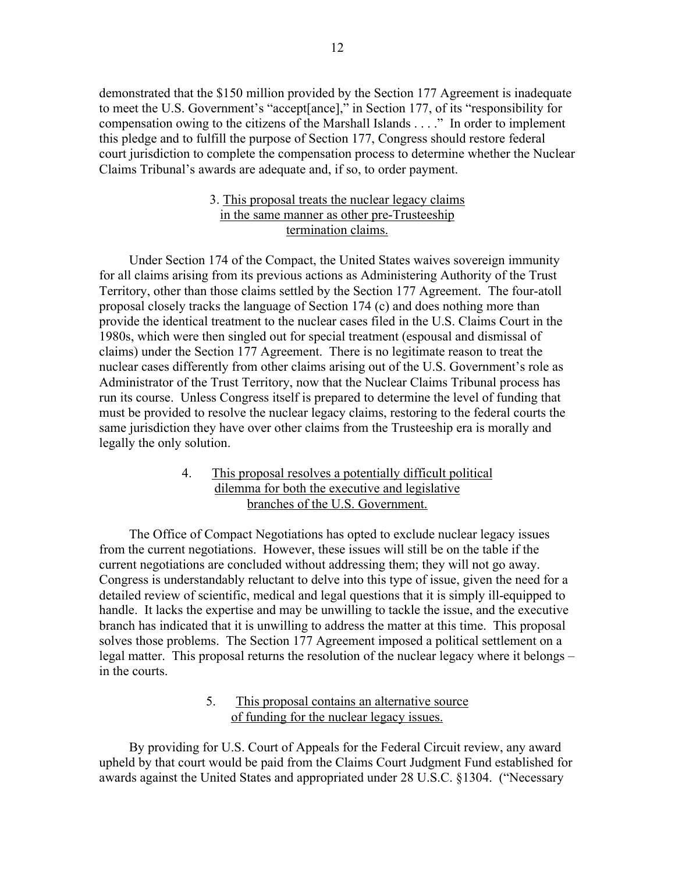demonstrated that the \$150 million provided by the Section 177 Agreement is inadequate to meet the U.S. Government's "accept[ance]," in Section 177, of its "responsibility for compensation owing to the citizens of the Marshall Islands . . . ." In order to implement this pledge and to fulfill the purpose of Section 177, Congress should restore federal court jurisdiction to complete the compensation process to determine whether the Nuclear Claims Tribunal's awards are adequate and, if so, to order payment.

## 3. This proposal treats the nuclear legacy claims in the same manner as other pre-Trusteeship termination claims.

Under Section 174 of the Compact, the United States waives sovereign immunity for all claims arising from its previous actions as Administering Authority of the Trust Territory, other than those claims settled by the Section 177 Agreement. The four-atoll proposal closely tracks the language of Section 174 (c) and does nothing more than provide the identical treatment to the nuclear cases filed in the U.S. Claims Court in the 1980s, which were then singled out for special treatment (espousal and dismissal of claims) under the Section 177 Agreement. There is no legitimate reason to treat the nuclear cases differently from other claims arising out of the U.S. Government's role as Administrator of the Trust Territory, now that the Nuclear Claims Tribunal process has run its course. Unless Congress itself is prepared to determine the level of funding that must be provided to resolve the nuclear legacy claims, restoring to the federal courts the same jurisdiction they have over other claims from the Trusteeship era is morally and legally the only solution.

# 4. This proposal resolves a potentially difficult political dilemma for both the executive and legislative branches of the U.S. Government.

The Office of Compact Negotiations has opted to exclude nuclear legacy issues from the current negotiations. However, these issues will still be on the table if the current negotiations are concluded without addressing them; they will not go away. Congress is understandably reluctant to delve into this type of issue, given the need for a detailed review of scientific, medical and legal questions that it is simply ill-equipped to handle. It lacks the expertise and may be unwilling to tackle the issue, and the executive branch has indicated that it is unwilling to address the matter at this time. This proposal solves those problems. The Section 177 Agreement imposed a political settlement on a legal matter. This proposal returns the resolution of the nuclear legacy where it belongs – in the courts.

## 5. This proposal contains an alternative source of funding for the nuclear legacy issues.

By providing for U.S. Court of Appeals for the Federal Circuit review, any award upheld by that court would be paid from the Claims Court Judgment Fund established for awards against the United States and appropriated under 28 U.S.C. §1304. ("Necessary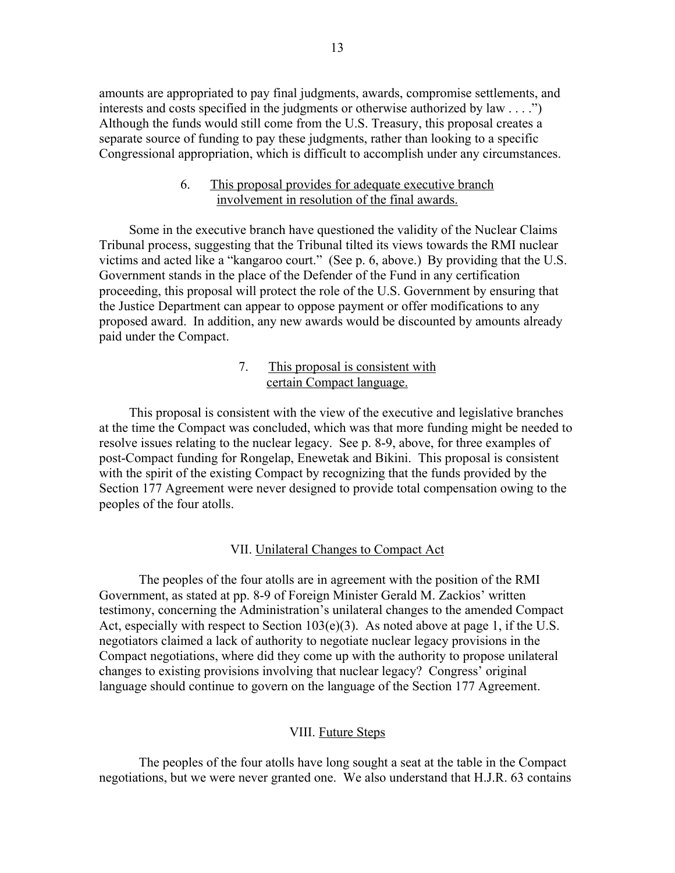amounts are appropriated to pay final judgments, awards, compromise settlements, and interests and costs specified in the judgments or otherwise authorized by law . . . .") Although the funds would still come from the U.S. Treasury, this proposal creates a separate source of funding to pay these judgments, rather than looking to a specific Congressional appropriation, which is difficult to accomplish under any circumstances.

## 6. This proposal provides for adequate executive branch involvement in resolution of the final awards.

Some in the executive branch have questioned the validity of the Nuclear Claims Tribunal process, suggesting that the Tribunal tilted its views towards the RMI nuclear victims and acted like a "kangaroo court." (See p. 6, above.) By providing that the U.S. Government stands in the place of the Defender of the Fund in any certification proceeding, this proposal will protect the role of the U.S. Government by ensuring that the Justice Department can appear to oppose payment or offer modifications to any proposed award. In addition, any new awards would be discounted by amounts already paid under the Compact.

# 7. This proposal is consistent with certain Compact language.

This proposal is consistent with the view of the executive and legislative branches at the time the Compact was concluded, which was that more funding might be needed to resolve issues relating to the nuclear legacy. See p. 8-9, above, for three examples of post-Compact funding for Rongelap, Enewetak and Bikini. This proposal is consistent with the spirit of the existing Compact by recognizing that the funds provided by the Section 177 Agreement were never designed to provide total compensation owing to the peoples of the four atolls.

### VII. Unilateral Changes to Compact Act

The peoples of the four atolls are in agreement with the position of the RMI Government, as stated at pp. 8-9 of Foreign Minister Gerald M. Zackios' written testimony, concerning the Administration's unilateral changes to the amended Compact Act, especially with respect to Section 103(e)(3). As noted above at page 1, if the U.S. negotiators claimed a lack of authority to negotiate nuclear legacy provisions in the Compact negotiations, where did they come up with the authority to propose unilateral changes to existing provisions involving that nuclear legacy? Congress' original language should continue to govern on the language of the Section 177 Agreement.

### VIII. Future Steps

The peoples of the four atolls have long sought a seat at the table in the Compact negotiations, but we were never granted one. We also understand that H.J.R. 63 contains